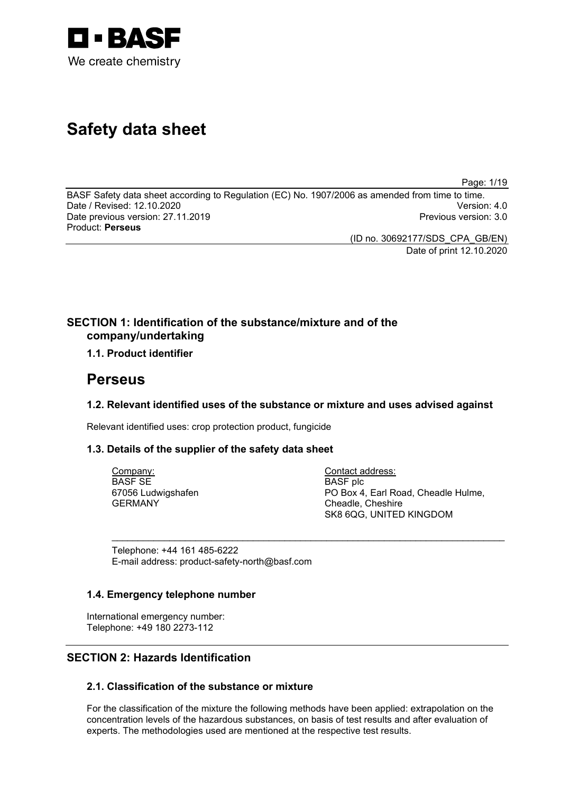

# **Safety data sheet**

Page: 1/19

BASF Safety data sheet according to Regulation (EC) No. 1907/2006 as amended from time to time. Date / Revised: 12.10.2020 Version: 4.0 Date previous version: 27.11.2019 Product: **Perseus**

> (ID no. 30692177/SDS\_CPA\_GB/EN) Date of print 12.10.2020

# **SECTION 1: Identification of the substance/mixture and of the company/undertaking**

# **1.1. Product identifier**

# **Perseus**

# **1.2. Relevant identified uses of the substance or mixture and uses advised against**

\_\_\_\_\_\_\_\_\_\_\_\_\_\_\_\_\_\_\_\_\_\_\_\_\_\_\_\_\_\_\_\_\_\_\_\_\_\_\_\_\_\_\_\_\_\_\_\_\_\_\_\_\_\_\_\_\_\_\_\_\_\_\_\_\_\_\_\_\_\_\_\_\_\_\_

Relevant identified uses: crop protection product, fungicide

# **1.3. Details of the supplier of the safety data sheet**

Company: BASF SE 67056 Ludwigshafen GERMANY

Contact address: BASF plc PO Box 4, Earl Road, Cheadle Hulme, Cheadle, Cheshire SK8 6QG, UNITED KINGDOM

Telephone: +44 161 485-6222 E-mail address: product-safety-north@basf.com

# **1.4. Emergency telephone number**

International emergency number: Telephone: +49 180 2273-112

# **SECTION 2: Hazards Identification**

# **2.1. Classification of the substance or mixture**

For the classification of the mixture the following methods have been applied: extrapolation on the concentration levels of the hazardous substances, on basis of test results and after evaluation of experts. The methodologies used are mentioned at the respective test results.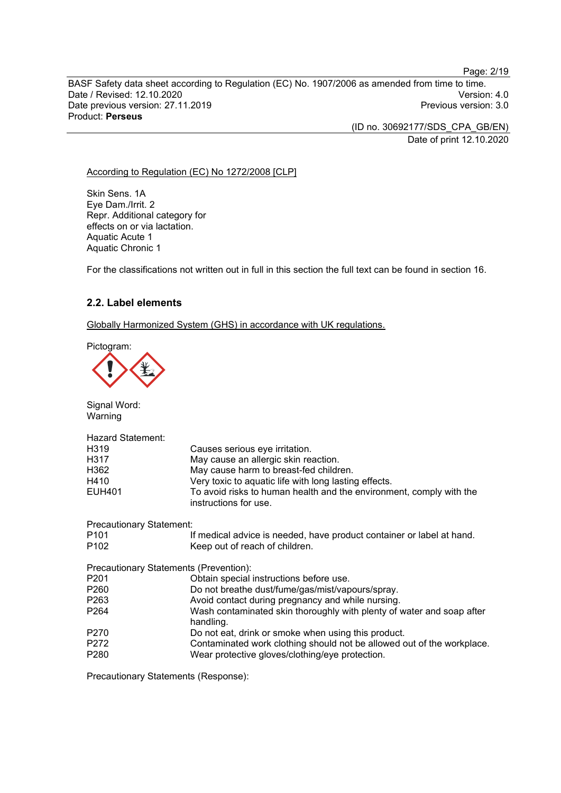BASF Safety data sheet according to Regulation (EC) No. 1907/2006 as amended from time to time. Date / Revised: 12.10.2020<br>Date previous version: 27.11.2019 Version: 3.0 Date previous version: 27.11.2019 Product: **Perseus**

> (ID no. 30692177/SDS\_CPA\_GB/EN) Date of print 12.10.2020

#### According to Regulation (EC) No 1272/2008 [CLP]

Skin Sens. 1A Eye Dam./Irrit. 2 Repr. Additional category for effects on or via lactation. Aquatic Acute 1 Aquatic Chronic 1

For the classifications not written out in full in this section the full text can be found in section 16.

# **2.2. Label elements**

Globally Harmonized System (GHS) in accordance with UK regulations.

Pictogram:

Signal Word: Warning

| <b>Hazard Statement:</b>               |                                                                                              |
|----------------------------------------|----------------------------------------------------------------------------------------------|
| H <sub>3</sub> 19                      | Causes serious eye irritation.                                                               |
| H317                                   | May cause an allergic skin reaction.                                                         |
| H362                                   | May cause harm to breast-fed children.                                                       |
| H410                                   | Very toxic to aquatic life with long lasting effects.                                        |
| <b>EUH401</b>                          | To avoid risks to human health and the environment, comply with the<br>instructions for use. |
| <b>Precautionary Statement:</b>        |                                                                                              |
| P <sub>101</sub>                       | If medical advice is needed, have product container or label at hand.                        |
| P <sub>102</sub>                       | Keep out of reach of children.                                                               |
| Precautionary Statements (Prevention): |                                                                                              |
| P <sub>201</sub>                       | Obtain special instructions before use.                                                      |
| P <sub>260</sub>                       | Do not breathe dust/fume/gas/mist/vapours/spray.                                             |
| P <sub>263</sub>                       | Avoid contact during pregnancy and while nursing.                                            |
| P <sub>264</sub>                       | Wash contaminated skin thoroughly with plenty of water and soap after<br>handling.           |
| P <sub>270</sub>                       | Do not eat, drink or smoke when using this product.                                          |
| P272                                   | Contaminated work clothing should not be allowed out of the workplace.                       |
| P <sub>280</sub>                       | Wear protective gloves/clothing/eye protection.                                              |
|                                        |                                                                                              |

Precautionary Statements (Response):

Page: 2/19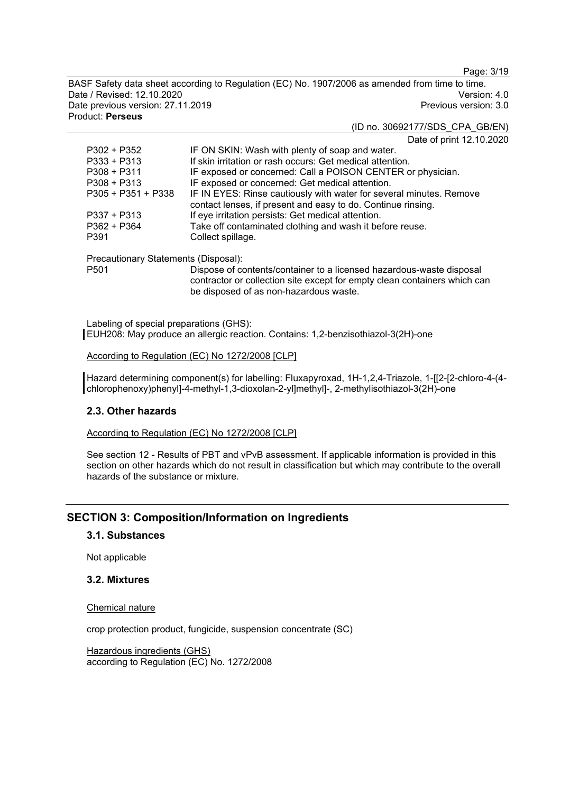Page: 3/19

BASF Safety data sheet according to Regulation (EC) No. 1907/2006 as amended from time to time. Date / Revised: 12.10.2020 Version: 4.0 Date previous version: 27.11.2019 Product: **Perseus**

# (ID no. 30692177/SDS\_CPA\_GB/EN)

Date of print 12.10.2020

| $P302 + P352$        | IF ON SKIN: Wash with plenty of soap and water.                                                                                     |
|----------------------|-------------------------------------------------------------------------------------------------------------------------------------|
| $P333 + P313$        | If skin irritation or rash occurs: Get medical attention.                                                                           |
| $P308 + P311$        | IF exposed or concerned: Call a POISON CENTER or physician.                                                                         |
| $P308 + P313$        | IF exposed or concerned: Get medical attention.                                                                                     |
| $P305 + P351 + P338$ | IF IN EYES: Rinse cautiously with water for several minutes. Remove<br>contact lenses, if present and easy to do. Continue rinsing. |
| $P337 + P313$        | If eye irritation persists: Get medical attention.                                                                                  |
| $P362 + P364$        | Take off contaminated clothing and wash it before reuse.                                                                            |
| P391                 | Collect spillage.                                                                                                                   |
|                      |                                                                                                                                     |

Precautionary Statements (Disposal):

Dispose of contents/container to a licensed hazardous-waste disposal contractor or collection site except for empty clean containers which can be disposed of as non-hazardous waste.

Labeling of special preparations (GHS): EUH208: May produce an allergic reaction. Contains: 1,2-benzisothiazol-3(2H)-one

According to Regulation (EC) No 1272/2008 [CLP]

Hazard determining component(s) for labelling: Fluxapyroxad, 1H-1,2,4-Triazole, 1-[[2-[2-chloro-4-(4chlorophenoxy)phenyl]-4-methyl-1,3-dioxolan-2-yl]methyl]-, 2-methylisothiazol-3(2H)-one

# **2.3. Other hazards**

According to Regulation (EC) No 1272/2008 [CLP]

See section 12 - Results of PBT and vPvB assessment. If applicable information is provided in this section on other hazards which do not result in classification but which may contribute to the overall hazards of the substance or mixture.

# **SECTION 3: Composition/Information on Ingredients**

# **3.1. Substances**

Not applicable

# **3.2. Mixtures**

#### Chemical nature

crop protection product, fungicide, suspension concentrate (SC)

Hazardous ingredients (GHS) according to Regulation (EC) No. 1272/2008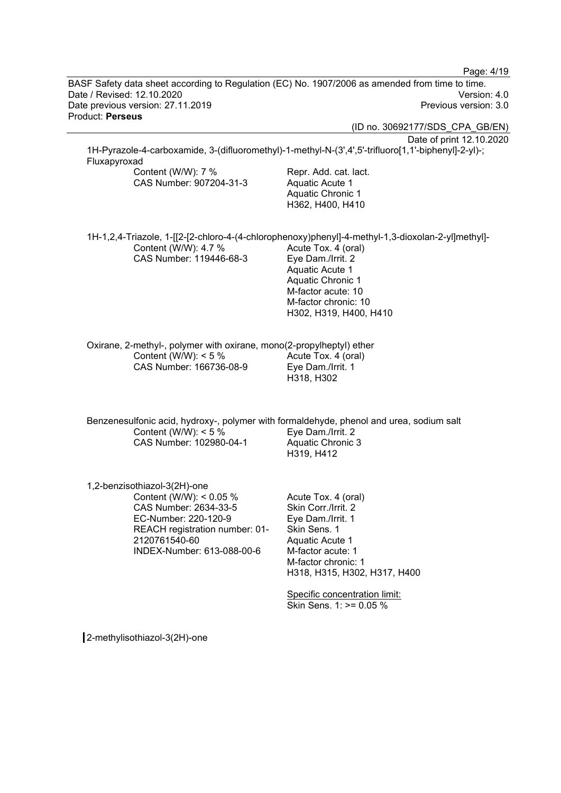Page: 4/19 BASF Safety data sheet according to Regulation (EC) No. 1907/2006 as amended from time to time. Date / Revised: 12.10.2020 Version: 4.0 Date previous version: 27.11.2019 Product: **Perseus** (ID no. 30692177/SDS\_CPA\_GB/EN) Date of print 12.10.2020 1H-Pyrazole-4-carboxamide, 3-(difluoromethyl)-1-methyl-N-(3',4',5'-trifluoro[1,1'-biphenyl]-2-yl)-; Fluxapyroxad Content (W/W): 7 % CAS Number: 907204-31-3 Repr. Add. cat. lact. Aquatic Acute 1 Aquatic Chronic 1 H362, H400, H410 1H-1,2,4-Triazole, 1-[[2-[2-chloro-4-(4-chlorophenoxy)phenyl]-4-methyl-1,3-dioxolan-2-yl]methyl]- Content (W/W): 4.7 % CAS Number: 119446-68-3 Acute Tox. 4 (oral) Eye Dam./Irrit. 2 Aquatic Acute 1 Aquatic Chronic 1 M-factor acute: 10 M-factor chronic: 10 H302, H319, H400, H410 Oxirane, 2-methyl-, polymer with oxirane, mono(2-propylheptyl) ether Content (W/W):  $< 5 \%$ CAS Number: 166736-08-9 Acute Tox. 4 (oral) Eye Dam./Irrit. 1 H318, H302 Benzenesulfonic acid, hydroxy-, polymer with formaldehyde, phenol and urea, sodium salt Content (W/W): < 5 % CAS Number: 102980-04-1 Eye Dam./Irrit. 2 Aquatic Chronic 3 H319, H412 1,2-benzisothiazol-3(2H)-one Content (W/W): < 0.05 % CAS Number: 2634-33-5 EC-Number: 220-120-9 REACH registration number: 01- 2120761540-60 INDEX-Number: 613-088-00-6 Acute Tox. 4 (oral) Skin Corr./Irrit. 2 Eye Dam./Irrit. 1 Skin Sens. 1 Aquatic Acute 1 M-factor acute: 1 M-factor chronic: 1 H318, H315, H302, H317, H400 Specific concentration limit: Skin Sens. 1: >= 0.05 %

2-methylisothiazol-3(2H)-one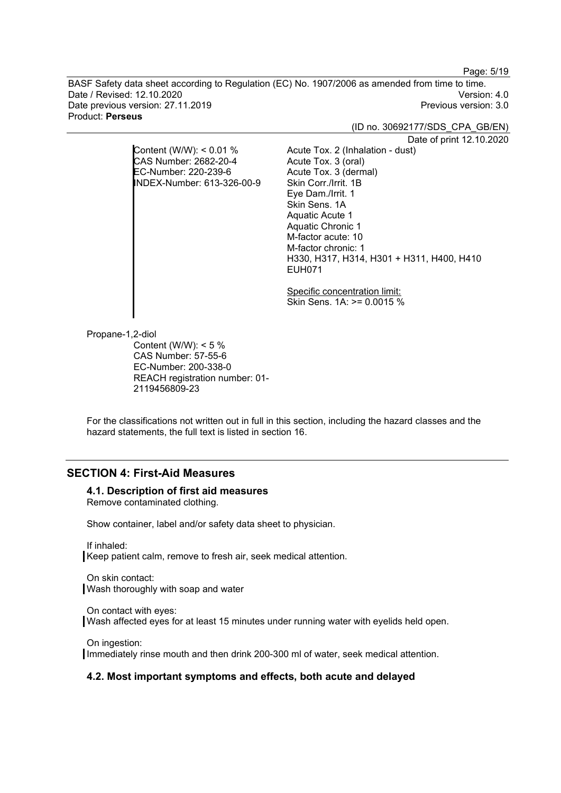Page: 5/19

BASF Safety data sheet according to Regulation (EC) No. 1907/2006 as amended from time to time. Date / Revised: 12.10.2020 Version: 4.0 Date previous version: 27.11.2019 Product: **Perseus**

(ID no. 30692177/SDS\_CPA\_GB/EN)

Date of print 12.10.2020

Content (W/W): < 0.01 % CAS Number: 2682-20-4 EC-Number: 220-239-6 INDEX-Number: 613-326-00-9

> Specific concentration limit: Skin Sens. 1A: >= 0.0015 %

H330, H317, H314, H301 + H311, H400, H410

Acute Tox. 2 (Inhalation - dust)

Acute Tox. 3 (oral) Acute Tox. 3 (dermal) Skin Corr./Irrit. 1B Eye Dam./Irrit. 1 Skin Sens. 1A Aquatic Acute 1 Aquatic Chronic 1 M-factor acute: 10 M-factor chronic: 1

EUH071

Propane-1,2-diol

Content (W/W):  $< 5 \%$ CAS Number: 57-55-6 EC-Number: 200-338-0 REACH registration number: 01- 2119456809-23

For the classifications not written out in full in this section, including the hazard classes and the hazard statements, the full text is listed in section 16.

# **SECTION 4: First-Aid Measures**

#### **4.1. Description of first aid measures**

Remove contaminated clothing.

Show container, label and/or safety data sheet to physician.

If inhaled: Keep patient calm, remove to fresh air, seek medical attention.

On skin contact: Wash thoroughly with soap and water

On contact with eyes: Wash affected eyes for at least 15 minutes under running water with eyelids held open.

On ingestion: Immediately rinse mouth and then drink 200-300 ml of water, seek medical attention.

#### **4.2. Most important symptoms and effects, both acute and delayed**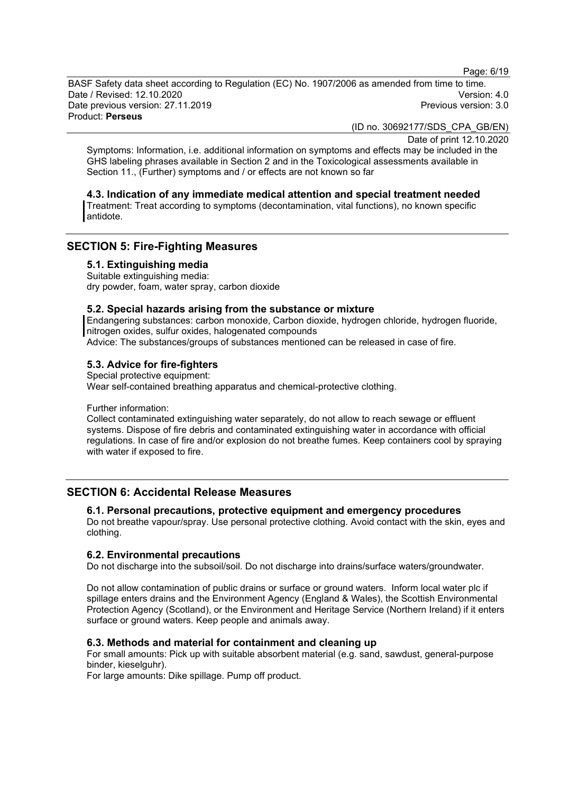Page: 6/19

BASF Safety data sheet according to Regulation (EC) No. 1907/2006 as amended from time to time. Date / Revised: 12.10.2020 Version: 4.0 Date previous version: 27.11.2019 Product: **Perseus**

(ID no. 30692177/SDS\_CPA\_GB/EN)

Date of print 12.10.2020

Symptoms: Information, i.e. additional information on symptoms and effects may be included in the GHS labeling phrases available in Section 2 and in the Toxicological assessments available in Section 11., (Further) symptoms and / or effects are not known so far

#### **4.3. Indication of any immediate medical attention and special treatment needed**

Treatment: Treat according to symptoms (decontamination, vital functions), no known specific antidote.

# **SECTION 5: Fire-Fighting Measures**

**5.1. Extinguishing media**

Suitable extinguishing media: dry powder, foam, water spray, carbon dioxide

# **5.2. Special hazards arising from the substance or mixture**

Endangering substances: carbon monoxide, Carbon dioxide, hydrogen chloride, hydrogen fluoride, nitrogen oxides, sulfur oxides, halogenated compounds

Advice: The substances/groups of substances mentioned can be released in case of fire.

# **5.3. Advice for fire-fighters**

Special protective equipment: Wear self-contained breathing apparatus and chemical-protective clothing.

Further information:

Collect contaminated extinguishing water separately, do not allow to reach sewage or effluent systems. Dispose of fire debris and contaminated extinguishing water in accordance with official regulations. In case of fire and/or explosion do not breathe fumes. Keep containers cool by spraying with water if exposed to fire.

# **SECTION 6: Accidental Release Measures**

# **6.1. Personal precautions, protective equipment and emergency procedures**

Do not breathe vapour/spray. Use personal protective clothing. Avoid contact with the skin, eyes and clothing.

#### **6.2. Environmental precautions**

Do not discharge into the subsoil/soil. Do not discharge into drains/surface waters/groundwater.

Do not allow contamination of public drains or surface or ground waters. Inform local water plc if spillage enters drains and the Environment Agency (England & Wales), the Scottish Environmental Protection Agency (Scotland), or the Environment and Heritage Service (Northern Ireland) if it enters surface or ground waters. Keep people and animals away.

# **6.3. Methods and material for containment and cleaning up**

For small amounts: Pick up with suitable absorbent material (e.g. sand, sawdust, general-purpose binder, kieselguhr).

For large amounts: Dike spillage. Pump off product.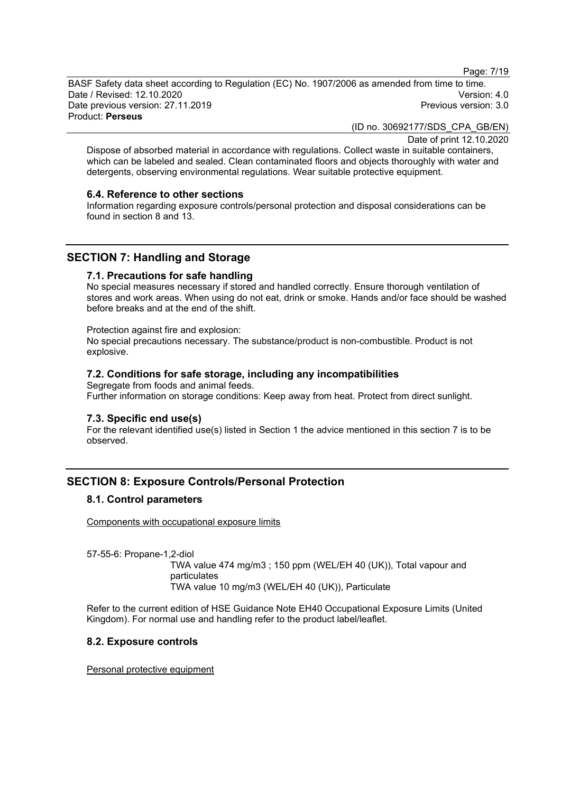Page: 7/19

BASF Safety data sheet according to Regulation (EC) No. 1907/2006 as amended from time to time. Date / Revised: 12.10.2020 Version: 4.0 Date previous version: 27.11.2019 Product: **Perseus**

(ID no. 30692177/SDS\_CPA\_GB/EN)

Date of print 12.10.2020

Dispose of absorbed material in accordance with regulations. Collect waste in suitable containers, which can be labeled and sealed. Clean contaminated floors and objects thoroughly with water and detergents, observing environmental regulations. Wear suitable protective equipment.

#### **6.4. Reference to other sections**

Information regarding exposure controls/personal protection and disposal considerations can be found in section 8 and 13.

# **SECTION 7: Handling and Storage**

#### **7.1. Precautions for safe handling**

No special measures necessary if stored and handled correctly. Ensure thorough ventilation of stores and work areas. When using do not eat, drink or smoke. Hands and/or face should be washed before breaks and at the end of the shift.

#### Protection against fire and explosion:

No special precautions necessary. The substance/product is non-combustible. Product is not explosive.

# **7.2. Conditions for safe storage, including any incompatibilities**

Segregate from foods and animal feeds. Further information on storage conditions: Keep away from heat. Protect from direct sunlight.

#### **7.3. Specific end use(s)**

For the relevant identified use(s) listed in Section 1 the advice mentioned in this section 7 is to be observed.

# **SECTION 8: Exposure Controls/Personal Protection**

# **8.1. Control parameters**

Components with occupational exposure limits

57-55-6: Propane-1,2-diol

TWA value 474 mg/m3 ; 150 ppm (WEL/EH 40 (UK)), Total vapour and particulates TWA value 10 mg/m3 (WEL/EH 40 (UK)), Particulate

Refer to the current edition of HSE Guidance Note EH40 Occupational Exposure Limits (United Kingdom). For normal use and handling refer to the product label/leaflet.

# **8.2. Exposure controls**

Personal protective equipment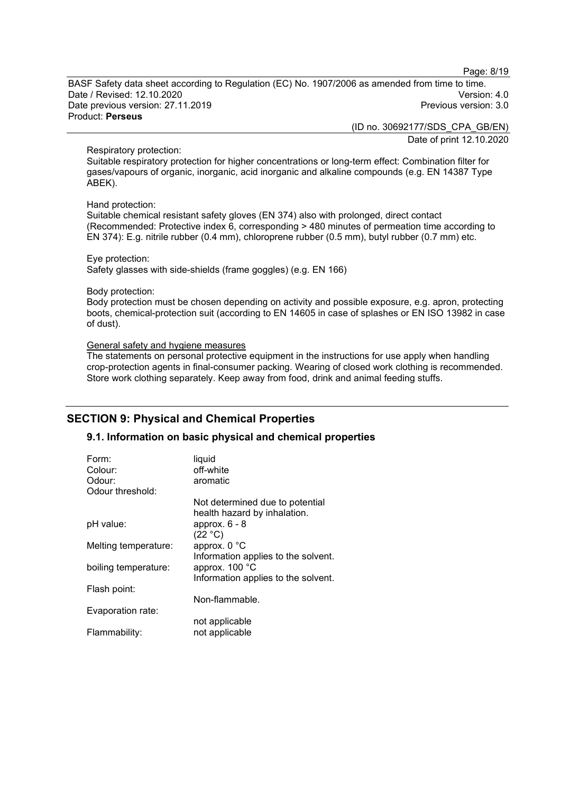Page: 8/19

BASF Safety data sheet according to Regulation (EC) No. 1907/2006 as amended from time to time. Date / Revised: 12.10.2020 Version: 4.0 Date previous version: 27.11.2019 Product: **Perseus**

> (ID no. 30692177/SDS\_CPA\_GB/EN) Date of print 12.10.2020

#### Respiratory protection:

Suitable respiratory protection for higher concentrations or long-term effect: Combination filter for gases/vapours of organic, inorganic, acid inorganic and alkaline compounds (e.g. EN 14387 Type ABEK).

#### Hand protection:

Suitable chemical resistant safety gloves (EN 374) also with prolonged, direct contact (Recommended: Protective index 6, corresponding > 480 minutes of permeation time according to EN 374): E.g. nitrile rubber (0.4 mm), chloroprene rubber (0.5 mm), butyl rubber (0.7 mm) etc.

#### Eye protection:

Safety glasses with side-shields (frame goggles) (e.g. EN 166)

#### Body protection:

Body protection must be chosen depending on activity and possible exposure, e.g. apron, protecting boots, chemical-protection suit (according to EN 14605 in case of splashes or EN ISO 13982 in case of dust).

#### General safety and hygiene measures

The statements on personal protective equipment in the instructions for use apply when handling crop-protection agents in final-consumer packing. Wearing of closed work clothing is recommended. Store work clothing separately. Keep away from food, drink and animal feeding stuffs.

# **SECTION 9: Physical and Chemical Properties**

# **9.1. Information on basic physical and chemical properties**

| Form:                | liquid                                                          |
|----------------------|-----------------------------------------------------------------|
| Colour:              | off-white                                                       |
| Odour:               | aromatic                                                        |
| Odour threshold:     |                                                                 |
|                      | Not determined due to potential<br>health hazard by inhalation. |
| pH value:            | approx. $6 - 8$<br>(22 °C)                                      |
| Melting temperature: | approx. 0 °C<br>Information applies to the solvent.             |
| boiling temperature: | approx. 100 °C<br>Information applies to the solvent.           |
| Flash point:         | Non-flammable.                                                  |
| Evaporation rate:    |                                                                 |
| Flammability:        | not applicable<br>not applicable                                |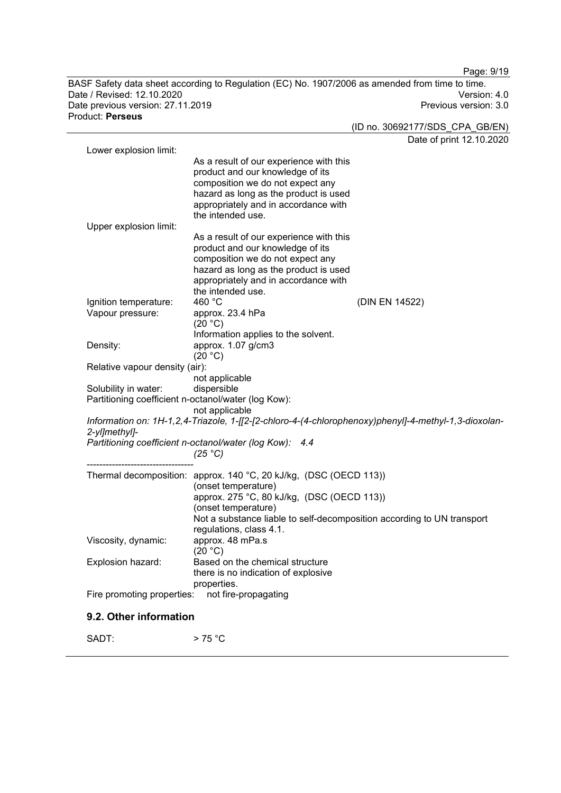BASF Safety data sheet according to Regulation (EC) No. 1907/2006 as amended from time to time. Date / Revised: 12.10.2020 Version: 4.0 Date previous version: 27.11.2019 Product: **Perseus**

Page: 9/19

(ID no. 30692177/SDS\_CPA\_GB/EN) Date of print 12.10.2020 Lower explosion limit: As a result of our experience with this product and our knowledge of its composition we do not expect any hazard as long as the product is used appropriately and in accordance with the intended use. Upper explosion limit: As a result of our experience with this product and our knowledge of its composition we do not expect any hazard as long as the product is used appropriately and in accordance with the intended use.<br>460 $^{\circ}$ C Ignition temperature: 460 °C<br>Vapour pressure: approx. 23.4 hPa Vapour pressure:  $(20 °C)$ Information applies to the solvent. Density: approx. 1.07 g/cm3  $(20 °C)$ Relative vapour density (air): not applicable Solubility in water: Partitioning coefficient n-octanol/water (log Kow): not applicable *Information on: 1H-1,2,4-Triazole, 1-[[2-[2-chloro-4-(4-chlorophenoxy)phenyl]-4-methyl-1,3-dioxolan-2-yl]methyl]- Partitioning coefficient n-octanol/water (log Kow): 4.4 (25 °C)* ---------------------------------- Thermal decomposition: approx. 140 °C, 20 kJ/kg, (DSC (OECD 113)) (onset temperature) approx. 275 °C, 80 kJ/kg, (DSC (OECD 113)) (onset temperature) Not a substance liable to self-decomposition according to UN transport regulations, class 4.1.<br>approx. 48 mPa.s Viscosity, dynamic:  $(20 °C)$ Explosion hazard: Based on the chemical structure there is no indication of explosive properties.<br>: not fire-propagating Fire promoting properties:

# **9.2. Other information**

 $SADT:$  > 75 °C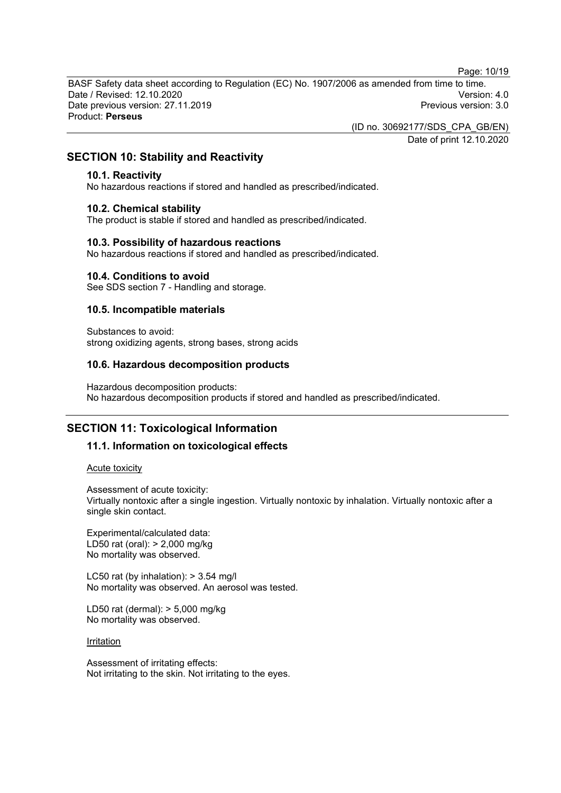Page: 10/19

BASF Safety data sheet according to Regulation (EC) No. 1907/2006 as amended from time to time. Date / Revised: 12.10.2020 Version: 4.0 Date previous version: 27.11.2019 Product: **Perseus**

(ID no. 30692177/SDS\_CPA\_GB/EN)

Date of print 12.10.2020

# **SECTION 10: Stability and Reactivity**

#### **10.1. Reactivity**

No hazardous reactions if stored and handled as prescribed/indicated.

#### **10.2. Chemical stability**

The product is stable if stored and handled as prescribed/indicated.

#### **10.3. Possibility of hazardous reactions**

No hazardous reactions if stored and handled as prescribed/indicated.

#### **10.4. Conditions to avoid**

See SDS section 7 - Handling and storage.

# **10.5. Incompatible materials**

Substances to avoid: strong oxidizing agents, strong bases, strong acids

#### **10.6. Hazardous decomposition products**

Hazardous decomposition products: No hazardous decomposition products if stored and handled as prescribed/indicated.

# **SECTION 11: Toxicological Information**

# **11.1. Information on toxicological effects**

Acute toxicity

Assessment of acute toxicity:

Virtually nontoxic after a single ingestion. Virtually nontoxic by inhalation. Virtually nontoxic after a single skin contact.

Experimental/calculated data: LD50 rat (oral): > 2,000 mg/kg No mortality was observed.

LC50 rat (by inhalation):  $> 3.54$  mg/l No mortality was observed. An aerosol was tested.

LD50 rat (dermal): > 5,000 mg/kg No mortality was observed.

#### **Irritation**

Assessment of irritating effects: Not irritating to the skin. Not irritating to the eyes.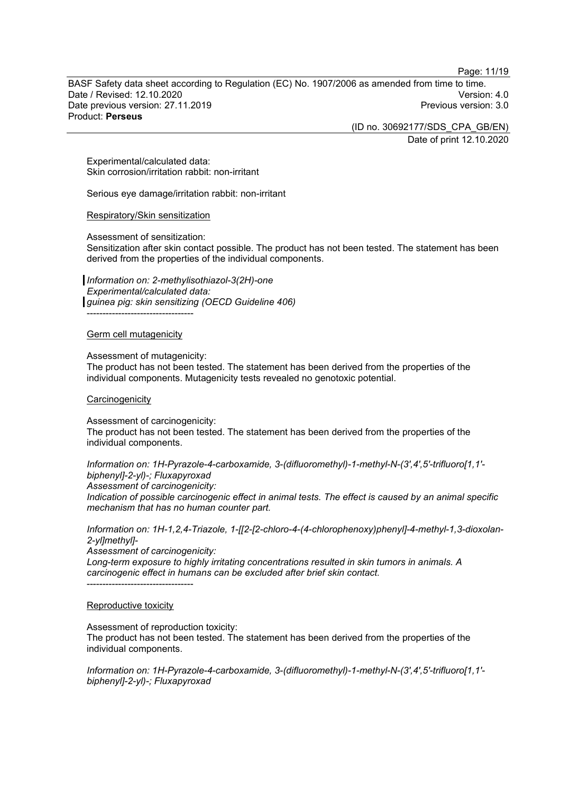Page: 11/19

BASF Safety data sheet according to Regulation (EC) No. 1907/2006 as amended from time to time. Date / Revised: 12.10.2020 Version: 4.0 Date previous version: 27.11.2019 Product: **Perseus**

> (ID no. 30692177/SDS\_CPA\_GB/EN) Date of print 12.10.2020

Experimental/calculated data: Skin corrosion/irritation rabbit: non-irritant

Serious eye damage/irritation rabbit: non-irritant

#### Respiratory/Skin sensitization

Assessment of sensitization:

Sensitization after skin contact possible. The product has not been tested. The statement has been derived from the properties of the individual components.

*Information on: 2-methylisothiazol-3(2H)-one Experimental/calculated data: guinea pig: skin sensitizing (OECD Guideline 406)* ----------------------------------

#### Germ cell mutagenicity

Assessment of mutagenicity:

The product has not been tested. The statement has been derived from the properties of the individual components. Mutagenicity tests revealed no genotoxic potential.

#### **Carcinogenicity**

Assessment of carcinogenicity: The product has not been tested. The statement has been derived from the properties of the individual components.

*Information on: 1H-Pyrazole-4-carboxamide, 3-(difluoromethyl)-1-methyl-N-(3',4',5'-trifluoro[1,1' biphenyl]-2-yl)-; Fluxapyroxad*

*Assessment of carcinogenicity:*

*Indication of possible carcinogenic effect in animal tests. The effect is caused by an animal specific mechanism that has no human counter part.*

*Information on: 1H-1,2,4-Triazole, 1-[[2-[2-chloro-4-(4-chlorophenoxy)phenyl]-4-methyl-1,3-dioxolan-2-yl]methyl]-*

*Assessment of carcinogenicity:*

*Long-term exposure to highly irritating concentrations resulted in skin tumors in animals. A carcinogenic effect in humans can be excluded after brief skin contact.* ----------------------------------

#### Reproductive toxicity

Assessment of reproduction toxicity:

The product has not been tested. The statement has been derived from the properties of the individual components.

*Information on: 1H-Pyrazole-4-carboxamide, 3-(difluoromethyl)-1-methyl-N-(3',4',5'-trifluoro[1,1' biphenyl]-2-yl)-; Fluxapyroxad*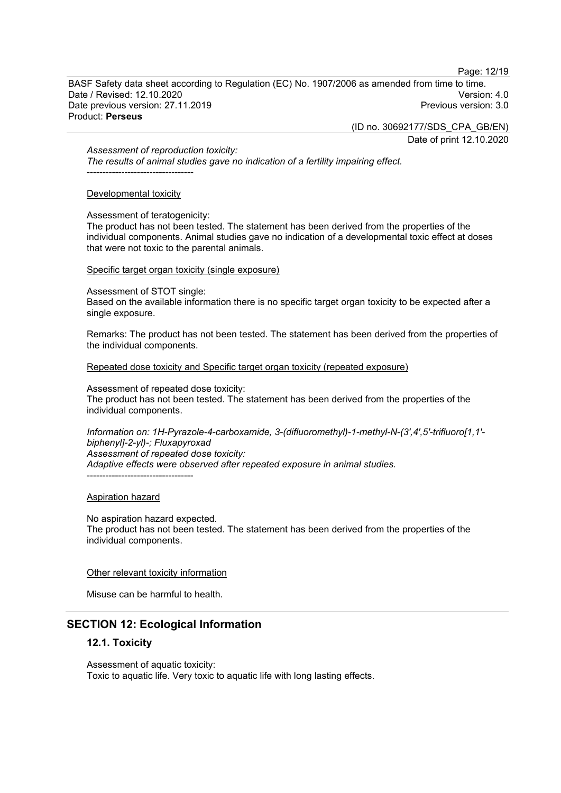Page: 12/19

BASF Safety data sheet according to Regulation (EC) No. 1907/2006 as amended from time to time. Date / Revised: 12.10.2020 Version: 4.0 Date previous version: 27.11.2019 Product: **Perseus**

(ID no. 30692177/SDS\_CPA\_GB/EN)

Date of print 12.10.2020

*Assessment of reproduction toxicity:*

*The results of animal studies gave no indication of a fertility impairing effect.* ----------------------------------

# Developmental toxicity

Assessment of teratogenicity:

The product has not been tested. The statement has been derived from the properties of the individual components. Animal studies gave no indication of a developmental toxic effect at doses that were not toxic to the parental animals.

# Specific target organ toxicity (single exposure)

Assessment of STOT single:

Based on the available information there is no specific target organ toxicity to be expected after a single exposure.

Remarks: The product has not been tested. The statement has been derived from the properties of the individual components.

Repeated dose toxicity and Specific target organ toxicity (repeated exposure)

Assessment of repeated dose toxicity:

The product has not been tested. The statement has been derived from the properties of the individual components.

*Information on: 1H-Pyrazole-4-carboxamide, 3-(difluoromethyl)-1-methyl-N-(3',4',5'-trifluoro[1,1' biphenyl]-2-yl)-; Fluxapyroxad Assessment of repeated dose toxicity: Adaptive effects were observed after repeated exposure in animal studies.* ----------------------------------

# Aspiration hazard

No aspiration hazard expected. The product has not been tested. The statement has been derived from the properties of the individual components.

# Other relevant toxicity information

Misuse can be harmful to health.

# **SECTION 12: Ecological Information**

# **12.1. Toxicity**

Assessment of aquatic toxicity: Toxic to aquatic life. Very toxic to aquatic life with long lasting effects.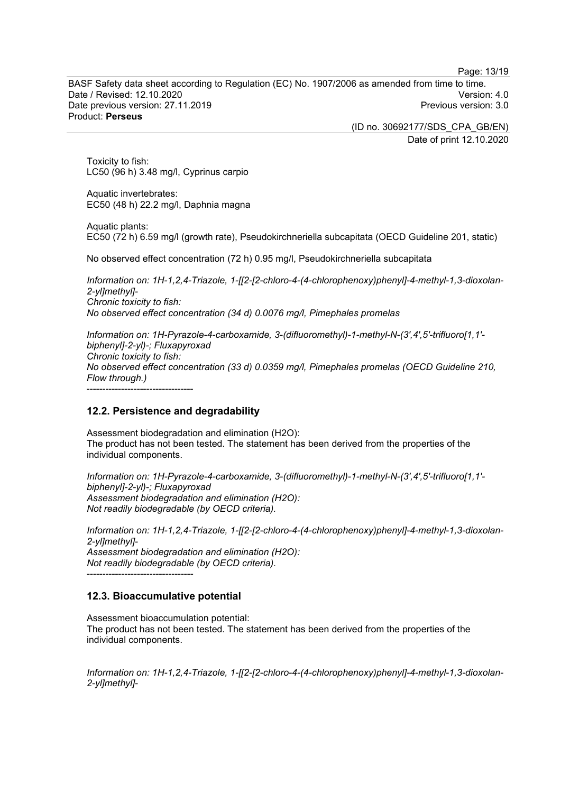Page: 13/19

BASF Safety data sheet according to Regulation (EC) No. 1907/2006 as amended from time to time. Date / Revised: 12.10.2020 Version: 4.0 Date previous version: 27.11.2019 Product: **Perseus**

> (ID no. 30692177/SDS\_CPA\_GB/EN) Date of print 12.10.2020

Toxicity to fish: LC50 (96 h) 3.48 mg/l, Cyprinus carpio

Aquatic invertebrates: EC50 (48 h) 22.2 mg/l, Daphnia magna

Aquatic plants: EC50 (72 h) 6.59 mg/l (growth rate), Pseudokirchneriella subcapitata (OECD Guideline 201, static)

No observed effect concentration (72 h) 0.95 mg/l, Pseudokirchneriella subcapitata

*Information on: 1H-1,2,4-Triazole, 1-[[2-[2-chloro-4-(4-chlorophenoxy)phenyl]-4-methyl-1,3-dioxolan-2-yl]methyl]- Chronic toxicity to fish: No observed effect concentration (34 d) 0.0076 mg/l, Pimephales promelas*

*Information on: 1H-Pyrazole-4-carboxamide, 3-(difluoromethyl)-1-methyl-N-(3',4',5'-trifluoro[1,1' biphenyl]-2-yl)-; Fluxapyroxad Chronic toxicity to fish: No observed effect concentration (33 d) 0.0359 mg/l, Pimephales promelas (OECD Guideline 210, Flow through.)* ----------------------------------

# **12.2. Persistence and degradability**

Assessment biodegradation and elimination (H2O): The product has not been tested. The statement has been derived from the properties of the individual components.

*Information on: 1H-Pyrazole-4-carboxamide, 3-(difluoromethyl)-1-methyl-N-(3',4',5'-trifluoro[1,1' biphenyl]-2-yl)-; Fluxapyroxad Assessment biodegradation and elimination (H2O): Not readily biodegradable (by OECD criteria).*

*Information on: 1H-1,2,4-Triazole, 1-[[2-[2-chloro-4-(4-chlorophenoxy)phenyl]-4-methyl-1,3-dioxolan-2-yl]methyl]- Assessment biodegradation and elimination (H2O): Not readily biodegradable (by OECD criteria).*

----------------------------------

# **12.3. Bioaccumulative potential**

Assessment bioaccumulation potential: The product has not been tested. The statement has been derived from the properties of the individual components.

*Information on: 1H-1,2,4-Triazole, 1-[[2-[2-chloro-4-(4-chlorophenoxy)phenyl]-4-methyl-1,3-dioxolan-2-yl]methyl]-*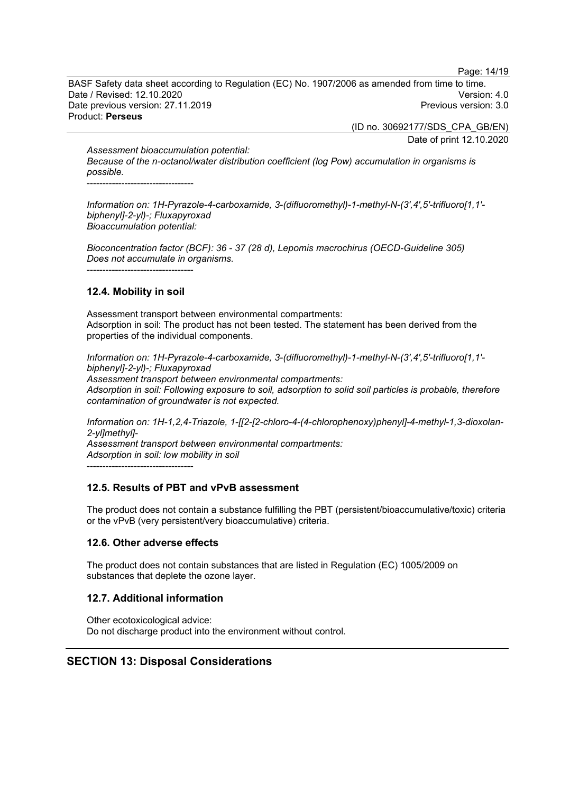Page: 14/19

BASF Safety data sheet according to Regulation (EC) No. 1907/2006 as amended from time to time. Date / Revised: 12.10.2020 Version: 4.0 Date previous version: 27.11.2019 Product: **Perseus**

> (ID no. 30692177/SDS\_CPA\_GB/EN) Date of print 12.10.2020

*Assessment bioaccumulation potential: Because of the n-octanol/water distribution coefficient (log Pow) accumulation in organisms is possible.*

----------------------------------

*Information on: 1H-Pyrazole-4-carboxamide, 3-(difluoromethyl)-1-methyl-N-(3',4',5'-trifluoro[1,1' biphenyl]-2-yl)-; Fluxapyroxad Bioaccumulation potential:*

*Bioconcentration factor (BCF): 36 - 37 (28 d), Lepomis macrochirus (OECD-Guideline 305) Does not accumulate in organisms.* ----------------------------------

# **12.4. Mobility in soil**

Assessment transport between environmental compartments: Adsorption in soil: The product has not been tested. The statement has been derived from the properties of the individual components.

*Information on: 1H-Pyrazole-4-carboxamide, 3-(difluoromethyl)-1-methyl-N-(3',4',5'-trifluoro[1,1' biphenyl]-2-yl)-; Fluxapyroxad Assessment transport between environmental compartments: Adsorption in soil: Following exposure to soil, adsorption to solid soil particles is probable, therefore contamination of groundwater is not expected.*

*Information on: 1H-1,2,4-Triazole, 1-[[2-[2-chloro-4-(4-chlorophenoxy)phenyl]-4-methyl-1,3-dioxolan-2-yl]methyl]-*

*Assessment transport between environmental compartments: Adsorption in soil: low mobility in soil*

----------------------------------

# **12.5. Results of PBT and vPvB assessment**

The product does not contain a substance fulfilling the PBT (persistent/bioaccumulative/toxic) criteria or the vPvB (very persistent/very bioaccumulative) criteria.

# **12.6. Other adverse effects**

The product does not contain substances that are listed in Regulation (EC) 1005/2009 on substances that deplete the ozone layer.

# **12.7. Additional information**

Other ecotoxicological advice: Do not discharge product into the environment without control.

# **SECTION 13: Disposal Considerations**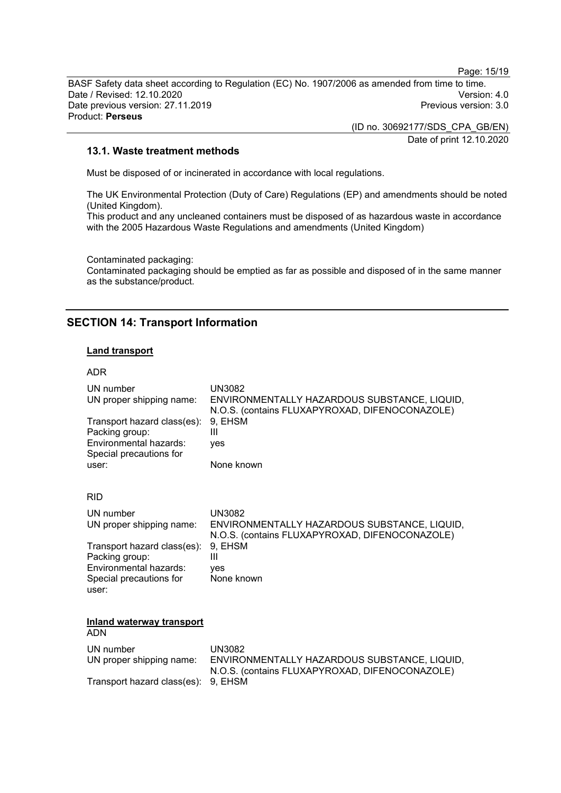Page: 15/19

BASF Safety data sheet according to Regulation (EC) No. 1907/2006 as amended from time to time. Date / Revised: 12.10.2020<br>Date previous version: 27.11.2019 Version: 3.0 Date previous version: 27.11.2019 Product: **Perseus**

> (ID no. 30692177/SDS\_CPA\_GB/EN) Date of print 12.10.2020

#### **13.1. Waste treatment methods**

Must be disposed of or incinerated in accordance with local regulations.

The UK Environmental Protection (Duty of Care) Regulations (EP) and amendments should be noted (United Kingdom).

This product and any uncleaned containers must be disposed of as hazardous waste in accordance with the 2005 Hazardous Waste Regulations and amendments (United Kingdom)

Contaminated packaging:

Contaminated packaging should be emptied as far as possible and disposed of in the same manner as the substance/product.

# **SECTION 14: Transport Information**

# **Land transport**

#### ADR

| UN number<br>UN proper shipping name:                                                              | <b>UN3082</b><br>ENVIRONMENTALLY HAZARDOUS SUBSTANCE, LIQUID,<br>N.O.S. (contains FLUXAPYROXAD, DIFENOCONAZOLE) |
|----------------------------------------------------------------------------------------------------|-----------------------------------------------------------------------------------------------------------------|
| Transport hazard class(es):<br>Packing group:<br>Environmental hazards:<br>Special precautions for | 9, EHSM<br>Ш<br>ves                                                                                             |
| user:                                                                                              | None known                                                                                                      |
| <b>RID</b>                                                                                         |                                                                                                                 |
| UN number<br>UN proper shipping name:                                                              | <b>UN3082</b><br>ENVIRONMENTALLY HAZARDOUS SUBSTANCE, LIQUID,<br>N.O.S. (contains FLUXAPYROXAD, DIFENOCONAZOLE) |
| Transport hazard class(es):<br>Packing group:                                                      | 9, EHSM<br>Ш                                                                                                    |
| Environmental hazards:<br>Special precautions for<br>user:                                         | ves<br>None known                                                                                               |
| <b>Inland waterway transport</b><br><b>ADN</b>                                                     |                                                                                                                 |
| UN number<br>UN proper shipping name:                                                              | <b>UN3082</b><br>ENVIRONMENTALLY HAZARDOUS SUBSTANCE, LIQUID,<br>N.O.S. (contains FLUXAPYROXAD, DIFENOCONAZOLE) |
| Transport hazard class(es):                                                                        | 9. EHSM                                                                                                         |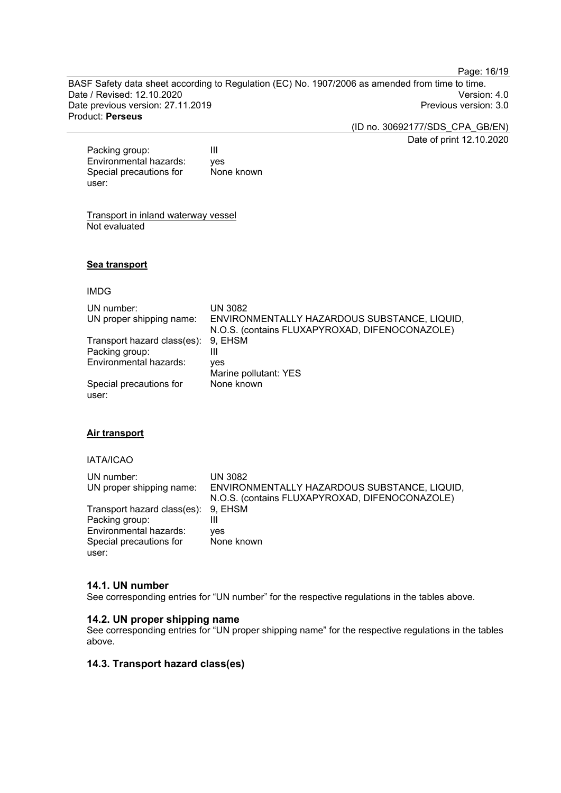Page: 16/19

BASF Safety data sheet according to Regulation (EC) No. 1907/2006 as amended from time to time. Date / Revised: 12.10.2020<br>Date previous version: 27.11.2019 Version: 3.0 Date previous version: 27.11.2019 Product: **Perseus**

(ID no. 30692177/SDS\_CPA\_GB/EN)

Date of print 12.10.2020

Packing group: III<br>Environmental hazards: ves Environmental hazards: Special precautions for user: None known

Transport in inland waterway vessel Not evaluated

#### **Sea transport**

#### IMDG

| UN number:<br>UN proper shipping name: | <b>UN 3082</b><br>ENVIRONMENTALLY HAZARDOUS SUBSTANCE, LIQUID,<br>N.O.S. (contains FLUXAPYROXAD, DIFENOCONAZOLE) |
|----------------------------------------|------------------------------------------------------------------------------------------------------------------|
| Transport hazard class(es):            | 9. EHSM                                                                                                          |
| Packing group:                         | Ш                                                                                                                |
| Environmental hazards:                 | yes                                                                                                              |
|                                        | Marine pollutant: YES                                                                                            |
| Special precautions for                | None known                                                                                                       |
| user:                                  |                                                                                                                  |

#### **Air transport**

#### IATA/ICAO

| UN number:                          | UN 3082                                        |
|-------------------------------------|------------------------------------------------|
| UN proper shipping name:            | ENVIRONMENTALLY HAZARDOUS SUBSTANCE, LIQUID,   |
|                                     | N.O.S. (contains FLUXAPYROXAD, DIFENOCONAZOLE) |
| Transport hazard class(es): 9, EHSM |                                                |
| Packing group:                      |                                                |
| Environmental hazards:              | ves                                            |
| Special precautions for             | None known                                     |
| user:                               |                                                |

#### **14.1. UN number**

See corresponding entries for "UN number" for the respective regulations in the tables above.

# **14.2. UN proper shipping name**

See corresponding entries for "UN proper shipping name" for the respective regulations in the tables above.

#### **14.3. Transport hazard class(es)**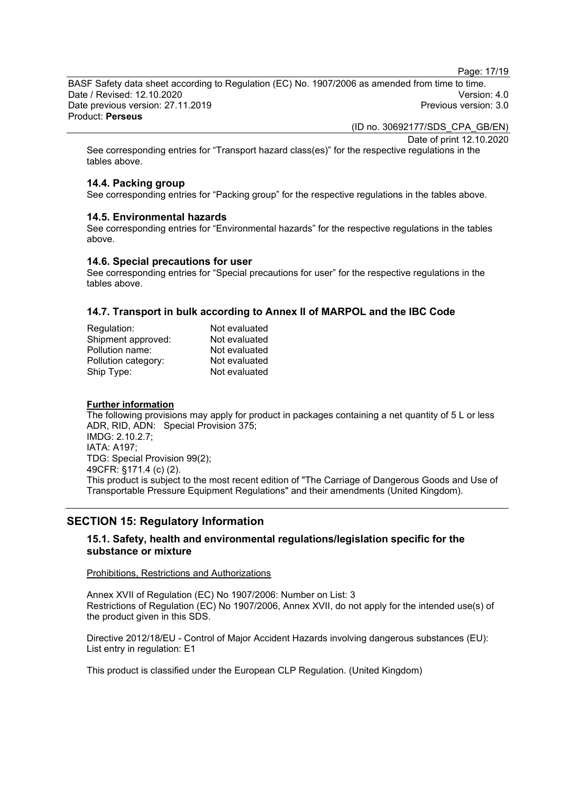Page: 17/19

BASF Safety data sheet according to Regulation (EC) No. 1907/2006 as amended from time to time. Date / Revised: 12.10.2020 Version: 4.0 Date previous version: 27.11.2019 Product: **Perseus**

(ID no. 30692177/SDS\_CPA\_GB/EN)

Date of print 12.10.2020

See corresponding entries for "Transport hazard class(es)" for the respective regulations in the tables above.

# **14.4. Packing group**

See corresponding entries for "Packing group" for the respective regulations in the tables above.

#### **14.5. Environmental hazards**

See corresponding entries for "Environmental hazards" for the respective regulations in the tables above.

#### **14.6. Special precautions for user**

See corresponding entries for "Special precautions for user" for the respective regulations in the tables above.

# **14.7. Transport in bulk according to Annex II of MARPOL and the IBC Code**

| Not evaluated |
|---------------|
| Not evaluated |
| Not evaluated |
| Not evaluated |
| Not evaluated |
|               |

#### **Further information**

The following provisions may apply for product in packages containing a net quantity of 5 L or less ADR, RID, ADN: Special Provision 375; IMDG: 2.10.2.7; IATA: A197; TDG: Special Provision 99(2); 49CFR: §171.4 (c) (2). This product is subject to the most recent edition of "The Carriage of Dangerous Goods and Use of Transportable Pressure Equipment Regulations" and their amendments (United Kingdom).

# **SECTION 15: Regulatory Information**

# **15.1. Safety, health and environmental regulations/legislation specific for the substance or mixture**

#### Prohibitions, Restrictions and Authorizations

Annex XVII of Regulation (EC) No 1907/2006: Number on List: 3 Restrictions of Regulation (EC) No 1907/2006, Annex XVII, do not apply for the intended use(s) of the product given in this SDS.

Directive 2012/18/EU - Control of Major Accident Hazards involving dangerous substances (EU): List entry in regulation: E1

This product is classified under the European CLP Regulation. (United Kingdom)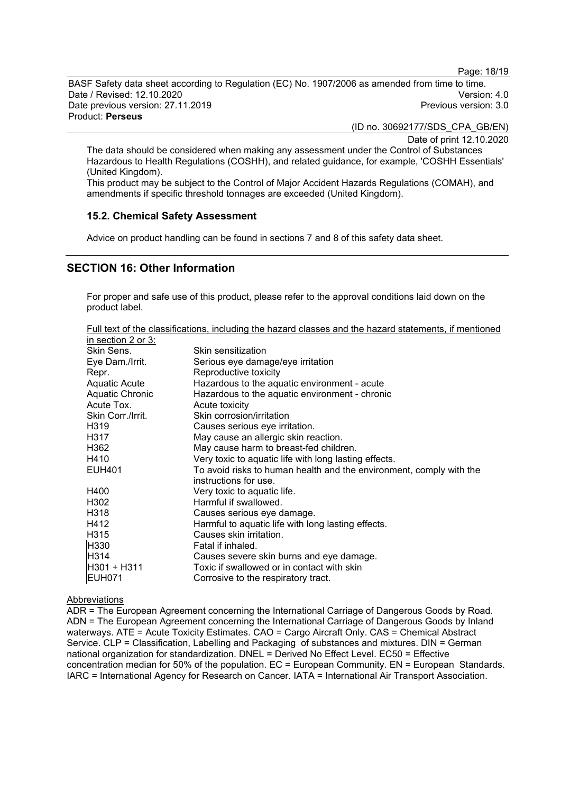Page: 18/19

BASF Safety data sheet according to Regulation (EC) No. 1907/2006 as amended from time to time. Date / Revised: 12.10.2020 Version: 4.0 Date previous version: 27.11.2019 Product: **Perseus**

(ID no. 30692177/SDS\_CPA\_GB/EN)

Date of print 12.10.2020

The data should be considered when making any assessment under the Control of Substances Hazardous to Health Regulations (COSHH), and related guidance, for example, 'COSHH Essentials' (United Kingdom).

This product may be subject to the Control of Major Accident Hazards Regulations (COMAH), and amendments if specific threshold tonnages are exceeded (United Kingdom).

#### **15.2. Chemical Safety Assessment**

Advice on product handling can be found in sections 7 and 8 of this safety data sheet.

# **SECTION 16: Other Information**

For proper and safe use of this product, please refer to the approval conditions laid down on the product label.

Full text of the classifications, including the hazard classes and the hazard statements, if mentioned in section 2 or 3:

| Skin Sens.        | Skin sensitization                                                  |
|-------------------|---------------------------------------------------------------------|
| Eye Dam./Irrit.   | Serious eye damage/eye irritation                                   |
| Repr.             | Reproductive toxicity                                               |
| Aquatic Acute     | Hazardous to the aquatic environment - acute                        |
| Aquatic Chronic   | Hazardous to the aquatic environment - chronic                      |
| Acute Tox.        | Acute toxicity                                                      |
| Skin Corr./Irrit. | Skin corrosion/irritation                                           |
| H319              | Causes serious eye irritation.                                      |
| H317              | May cause an allergic skin reaction.                                |
| H362              | May cause harm to breast-fed children.                              |
| H410              | Very toxic to aquatic life with long lasting effects.               |
| <b>EUH401</b>     | To avoid risks to human health and the environment, comply with the |
|                   | instructions for use.                                               |
| H400              | Very toxic to aquatic life.                                         |
| H302              | Harmful if swallowed.                                               |
| H318              | Causes serious eye damage.                                          |
| H412              | Harmful to aquatic life with long lasting effects.                  |
| H315              | Causes skin irritation.                                             |
| H330              | Fatal if inhaled.                                                   |
| H314              | Causes severe skin burns and eye damage.                            |
| H301 + H311       | Toxic if swallowed or in contact with skin                          |
| <b>EUH071</b>     | Corrosive to the respiratory tract.                                 |

#### Abbreviations

ADR = The European Agreement concerning the International Carriage of Dangerous Goods by Road. ADN = The European Agreement concerning the International Carriage of Dangerous Goods by Inland waterways. ATE = Acute Toxicity Estimates. CAO = Cargo Aircraft Only. CAS = Chemical Abstract Service. CLP = Classification, Labelling and Packaging of substances and mixtures. DIN = German national organization for standardization. DNEL = Derived No Effect Level. EC50 = Effective concentration median for 50% of the population. EC = European Community. EN = European Standards. IARC = International Agency for Research on Cancer. IATA = International Air Transport Association.